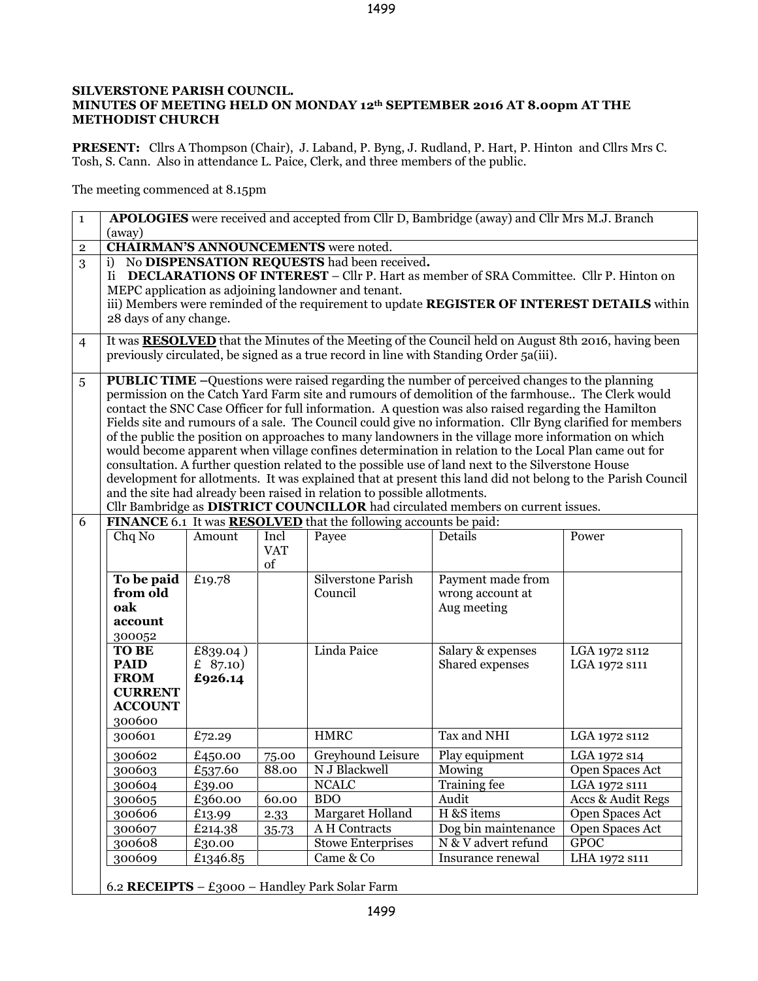## **SILVERSTONE PARISH COUNCIL. MINUTES OF MEETING HELD ON MONDAY 12th SEPTEMBER 2016 AT 8.00pm AT THE METHODIST CHURCH**

**PRESENT:** Cllrs A Thompson (Chair), J. Laband, P. Byng, J. Rudland, P. Hart, P. Hinton and Cllrs Mrs C. Tosh, S. Cann. Also in attendance L. Paice, Clerk, and three members of the public.

The meeting commenced at 8.15pm

| $\mathbf{1}$   | <b>APOLOGIES</b> were received and accepted from Cllr D, Bambridge (away) and Cllr Mrs M.J. Branch<br>(away)                                                                                                                                                                                                                                                                                                                                                                                                                                                                                                                                                                                                                                                                                                                                                                                                                                                                                                                                                                                                 |                                  |                          |                               |                                                      |                                |  |  |
|----------------|--------------------------------------------------------------------------------------------------------------------------------------------------------------------------------------------------------------------------------------------------------------------------------------------------------------------------------------------------------------------------------------------------------------------------------------------------------------------------------------------------------------------------------------------------------------------------------------------------------------------------------------------------------------------------------------------------------------------------------------------------------------------------------------------------------------------------------------------------------------------------------------------------------------------------------------------------------------------------------------------------------------------------------------------------------------------------------------------------------------|----------------------------------|--------------------------|-------------------------------|------------------------------------------------------|--------------------------------|--|--|
| $\mathbf 2$    | <b>CHAIRMAN'S ANNOUNCEMENTS</b> were noted.                                                                                                                                                                                                                                                                                                                                                                                                                                                                                                                                                                                                                                                                                                                                                                                                                                                                                                                                                                                                                                                                  |                                  |                          |                               |                                                      |                                |  |  |
| 3              | No DISPENSATION REQUESTS had been received.<br>i)<br>Ii DECLARATIONS OF INTEREST – Cllr P. Hart as member of SRA Committee. Cllr P. Hinton on<br>MEPC application as adjoining landowner and tenant.<br>iii) Members were reminded of the requirement to update REGISTER OF INTEREST DETAILS within<br>28 days of any change.                                                                                                                                                                                                                                                                                                                                                                                                                                                                                                                                                                                                                                                                                                                                                                                |                                  |                          |                               |                                                      |                                |  |  |
| $\overline{4}$ | It was <b>RESOLVED</b> that the Minutes of the Meeting of the Council held on August 8th 2016, having been<br>previously circulated, be signed as a true record in line with Standing Order 5a(iii).                                                                                                                                                                                                                                                                                                                                                                                                                                                                                                                                                                                                                                                                                                                                                                                                                                                                                                         |                                  |                          |                               |                                                      |                                |  |  |
| 5<br>6         | <b>PUBLIC TIME</b> -Questions were raised regarding the number of perceived changes to the planning<br>permission on the Catch Yard Farm site and rumours of demolition of the farmhouse The Clerk would<br>contact the SNC Case Officer for full information. A question was also raised regarding the Hamilton<br>Fields site and rumours of a sale. The Council could give no information. Cllr Byng clarified for members<br>of the public the position on approaches to many landowners in the village more information on which<br>would become apparent when village confines determination in relation to the Local Plan came out for<br>consultation. A further question related to the possible use of land next to the Silverstone House<br>development for allotments. It was explained that at present this land did not belong to the Parish Council<br>and the site had already been raised in relation to possible allotments.<br>Cllr Bambridge as DISTRICT COUNCILLOR had circulated members on current issues.<br>FINANCE 6.1 It was <b>RESOLVED</b> that the following accounts be paid: |                                  |                          |                               |                                                      |                                |  |  |
|                | Chq No                                                                                                                                                                                                                                                                                                                                                                                                                                                                                                                                                                                                                                                                                                                                                                                                                                                                                                                                                                                                                                                                                                       | Amount                           | Incl<br><b>VAT</b><br>of | Payee                         | Details                                              | Power                          |  |  |
|                | To be paid<br>from old<br>oak<br>account<br>300052                                                                                                                                                                                                                                                                                                                                                                                                                                                                                                                                                                                                                                                                                                                                                                                                                                                                                                                                                                                                                                                           | £19.78                           |                          | Silverstone Parish<br>Council | Payment made from<br>wrong account at<br>Aug meeting |                                |  |  |
|                | <b>TO BE</b><br><b>PAID</b><br><b>FROM</b><br><b>CURRENT</b><br><b>ACCOUNT</b><br>300600                                                                                                                                                                                                                                                                                                                                                                                                                                                                                                                                                                                                                                                                                                                                                                                                                                                                                                                                                                                                                     | £839.04)<br>£ $87.10$<br>£926.14 |                          | Linda Paice                   | Salary & expenses<br>Shared expenses                 | LGA 1972 s112<br>LGA 1972 S111 |  |  |
|                | 300601                                                                                                                                                                                                                                                                                                                                                                                                                                                                                                                                                                                                                                                                                                                                                                                                                                                                                                                                                                                                                                                                                                       | £72.29                           |                          | <b>HMRC</b>                   | Tax and NHI                                          | LGA 1972 s112                  |  |  |
|                | 300602                                                                                                                                                                                                                                                                                                                                                                                                                                                                                                                                                                                                                                                                                                                                                                                                                                                                                                                                                                                                                                                                                                       | £450.00                          | 75.00                    | Greyhound Leisure             | Play equipment                                       | LGA 1972 s14                   |  |  |
|                | 300603                                                                                                                                                                                                                                                                                                                                                                                                                                                                                                                                                                                                                                                                                                                                                                                                                                                                                                                                                                                                                                                                                                       | £537.60                          | 88.00                    | N J Blackwell                 | Mowing                                               | Open Spaces Act                |  |  |
|                | 300604                                                                                                                                                                                                                                                                                                                                                                                                                                                                                                                                                                                                                                                                                                                                                                                                                                                                                                                                                                                                                                                                                                       | £39.00                           |                          | <b>NCALC</b>                  | Training fee                                         | LGA 1972 S111                  |  |  |
|                | 300605                                                                                                                                                                                                                                                                                                                                                                                                                                                                                                                                                                                                                                                                                                                                                                                                                                                                                                                                                                                                                                                                                                       | £360.00                          | 60.00                    | <b>BDO</b>                    | Audit                                                | Accs & Audit Regs              |  |  |
|                | 300606                                                                                                                                                                                                                                                                                                                                                                                                                                                                                                                                                                                                                                                                                                                                                                                                                                                                                                                                                                                                                                                                                                       | £13.99                           | 2.33                     | Margaret Holland              | H &S items                                           | Open Spaces Act                |  |  |
|                | 300607                                                                                                                                                                                                                                                                                                                                                                                                                                                                                                                                                                                                                                                                                                                                                                                                                                                                                                                                                                                                                                                                                                       | £214.38                          | 35.73                    | A H Contracts                 | Dog bin maintenance                                  | Open Spaces Act                |  |  |
|                | 300608                                                                                                                                                                                                                                                                                                                                                                                                                                                                                                                                                                                                                                                                                                                                                                                                                                                                                                                                                                                                                                                                                                       | £30.00                           |                          | <b>Stowe Enterprises</b>      | N & V advert refund                                  | <b>GPOC</b>                    |  |  |
|                | 300609                                                                                                                                                                                                                                                                                                                                                                                                                                                                                                                                                                                                                                                                                                                                                                                                                                                                                                                                                                                                                                                                                                       | £1346.85                         |                          | Came & Co                     | Insurance renewal                                    | LHA 1972 S111                  |  |  |
|                |                                                                                                                                                                                                                                                                                                                                                                                                                                                                                                                                                                                                                                                                                                                                                                                                                                                                                                                                                                                                                                                                                                              |                                  |                          |                               |                                                      |                                |  |  |

6.2 **RECEIPTS** – £3000 – Handley Park Solar Farm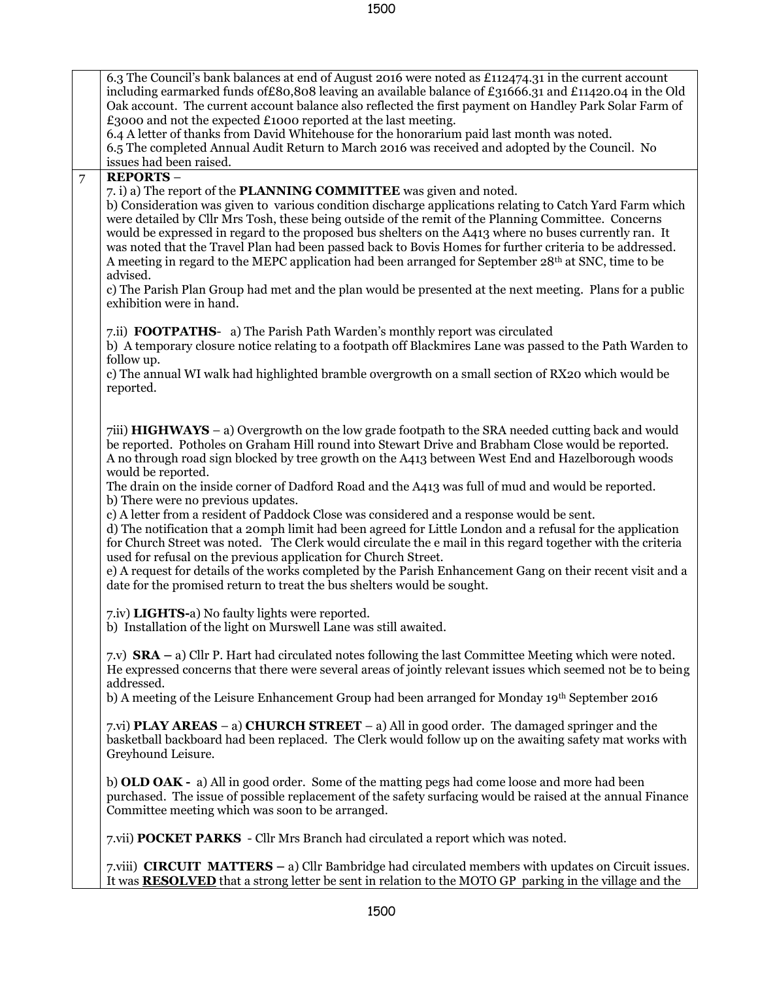1500

|                | 6.3 The Council's bank balances at end of August 2016 were noted as £112474.31 in the current account<br>including earmarked funds of £80,808 leaving an available balance of £31666.31 and £11420.04 in the Old<br>Oak account. The current account balance also reflected the first payment on Handley Park Solar Farm of<br>£3000 and not the expected £1000 reported at the last meeting.<br>6.4 A letter of thanks from David Whitehouse for the honorarium paid last month was noted.<br>6.5 The completed Annual Audit Return to March 2016 was received and adopted by the Council. No<br>issues had been raised.                                                                                                                                                                                                                                                                                                                                                                                                                                                   |
|----------------|-----------------------------------------------------------------------------------------------------------------------------------------------------------------------------------------------------------------------------------------------------------------------------------------------------------------------------------------------------------------------------------------------------------------------------------------------------------------------------------------------------------------------------------------------------------------------------------------------------------------------------------------------------------------------------------------------------------------------------------------------------------------------------------------------------------------------------------------------------------------------------------------------------------------------------------------------------------------------------------------------------------------------------------------------------------------------------|
| $\overline{7}$ | <b>REPORTS-</b><br>7. i) a) The report of the <b>PLANNING COMMITTEE</b> was given and noted.<br>b) Consideration was given to various condition discharge applications relating to Catch Yard Farm which<br>were detailed by Cllr Mrs Tosh, these being outside of the remit of the Planning Committee. Concerns<br>would be expressed in regard to the proposed bus shelters on the A413 where no buses currently ran. It<br>was noted that the Travel Plan had been passed back to Bovis Homes for further criteria to be addressed.<br>A meeting in regard to the MEPC application had been arranged for September 28th at SNC, time to be<br>advised.<br>c) The Parish Plan Group had met and the plan would be presented at the next meeting. Plans for a public<br>exhibition were in hand.                                                                                                                                                                                                                                                                           |
|                | 7.ii) <b>FOOTPATHS-</b> a) The Parish Path Warden's monthly report was circulated<br>b) A temporary closure notice relating to a footpath off Blackmires Lane was passed to the Path Warden to<br>follow up.<br>c) The annual WI walk had highlighted bramble overgrowth on a small section of RX20 which would be<br>reported.                                                                                                                                                                                                                                                                                                                                                                                                                                                                                                                                                                                                                                                                                                                                             |
|                | 7iii) <b>HIGHWAYS</b> – a) Overgrowth on the low grade footpath to the SRA needed cutting back and would<br>be reported. Potholes on Graham Hill round into Stewart Drive and Brabham Close would be reported.<br>A no through road sign blocked by tree growth on the A413 between West End and Hazelborough woods<br>would be reported.<br>The drain on the inside corner of Dadford Road and the A413 was full of mud and would be reported.<br>b) There were no previous updates.<br>c) A letter from a resident of Paddock Close was considered and a response would be sent.<br>d) The notification that a 20mph limit had been agreed for Little London and a refusal for the application<br>for Church Street was noted. The Clerk would circulate the e mail in this regard together with the criteria<br>used for refusal on the previous application for Church Street.<br>e) A request for details of the works completed by the Parish Enhancement Gang on their recent visit and a<br>date for the promised return to treat the bus shelters would be sought. |
|                | 7.iv) LIGHTS-a) No faulty lights were reported.<br>b) Installation of the light on Murswell Lane was still awaited.                                                                                                                                                                                                                                                                                                                                                                                                                                                                                                                                                                                                                                                                                                                                                                                                                                                                                                                                                         |
|                | 7.v) $\text{SRA} - a$ Cllr P. Hart had circulated notes following the last Committee Meeting which were noted.<br>He expressed concerns that there were several areas of jointly relevant issues which seemed not be to being<br>addressed.<br>b) A meeting of the Leisure Enhancement Group had been arranged for Monday 19th September 2016                                                                                                                                                                                                                                                                                                                                                                                                                                                                                                                                                                                                                                                                                                                               |
|                | 7.vi) <b>PLAY AREAS</b> – a) <b>CHURCH STREET</b> – a) All in good order. The damaged springer and the<br>basketball backboard had been replaced. The Clerk would follow up on the awaiting safety mat works with<br>Greyhound Leisure.                                                                                                                                                                                                                                                                                                                                                                                                                                                                                                                                                                                                                                                                                                                                                                                                                                     |
|                | b) OLD OAK - a) All in good order. Some of the matting pegs had come loose and more had been<br>purchased. The issue of possible replacement of the safety surfacing would be raised at the annual Finance<br>Committee meeting which was soon to be arranged.                                                                                                                                                                                                                                                                                                                                                                                                                                                                                                                                                                                                                                                                                                                                                                                                              |
|                | 7.vii) <b>POCKET PARKS</b> - Cllr Mrs Branch had circulated a report which was noted.                                                                                                                                                                                                                                                                                                                                                                                                                                                                                                                                                                                                                                                                                                                                                                                                                                                                                                                                                                                       |
|                | 7.viii) CIRCUIT MATTERS – a) Cllr Bambridge had circulated members with updates on Circuit issues.<br>It was <b>RESOLVED</b> that a strong letter be sent in relation to the MOTO GP parking in the village and the                                                                                                                                                                                                                                                                                                                                                                                                                                                                                                                                                                                                                                                                                                                                                                                                                                                         |